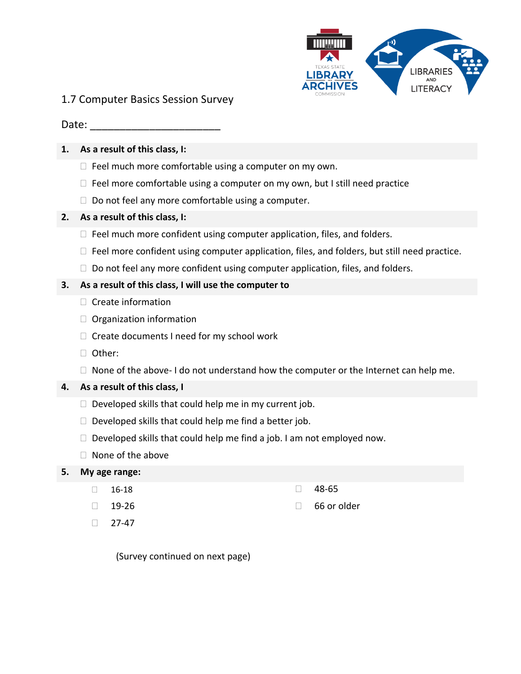

# 1.7 Computer Basics Session Survey

## Date:

## **1. As a result of this class, I:**

- $\Box$  Feel much more comfortable using a computer on my own.
- $\Box$  Feel more comfortable using a computer on my own, but I still need practice
- $\Box$  Do not feel any more comfortable using a computer.

## **2. As a result of this class, I:**

- $\Box$  Feel much more confident using computer application, files, and folders.
- $\Box$  Feel more confident using computer application, files, and folders, but still need practice.
- $\Box$  Do not feel any more confident using computer application, files, and folders.

## **3. As a result of this class, I will use the computer to**

- $\Box$  Create information
- Organization information
- $\Box$  Create documents I need for my school work
- □ Other:
- $\Box$  None of the above- I do not understand how the computer or the Internet can help me.

#### **4. As a result of this class, I**

- $\Box$  Developed skills that could help me in my current job.
- $\Box$  Developed skills that could help me find a better job.
- $\Box$  Developed skills that could help me find a job. I am not employed now.
- $\Box$  None of the above

#### **5. My age range:**

- $\Box$  16-18 48-65
- 
- $\Box$  27-47

- $\Box$  19-26  $\Box$  66 or older
	- (Survey continued on next page)